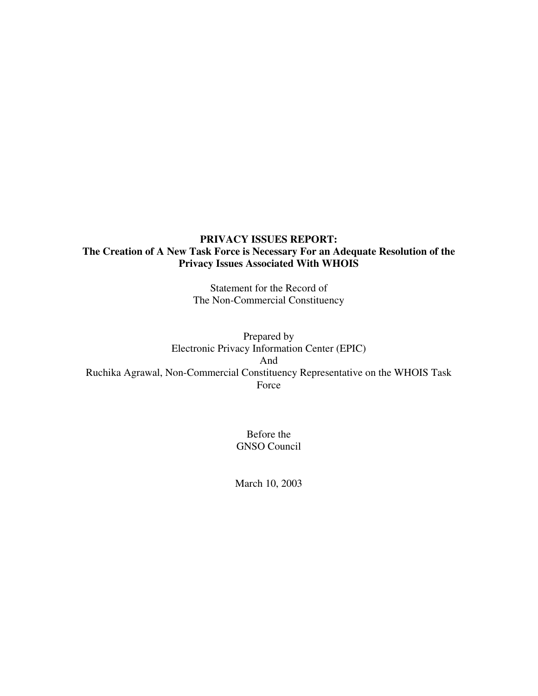## **PRIVACY ISSUES REPORT: The Creation of A New Task Force is Necessary For an Adequate Resolution of the Privacy Issues Associated With WHOIS**

Statement for the Record of The Non-Commercial Constituency

Prepared by Electronic Privacy Information Center (EPIC) And Ruchika Agrawal, Non-Commercial Constituency Representative on the WHOIS Task Force

> Before the GNSO Council

March 10, 2003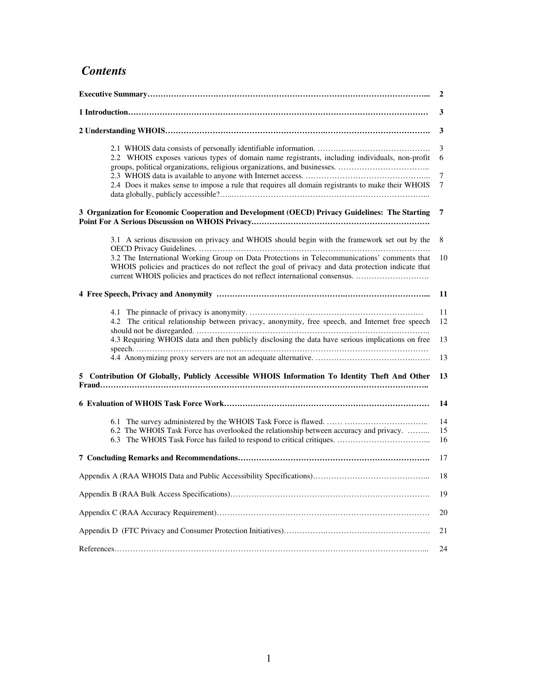# *Contents*

|                                                                                                                                                                                                                                                                                   | 2              |
|-----------------------------------------------------------------------------------------------------------------------------------------------------------------------------------------------------------------------------------------------------------------------------------|----------------|
|                                                                                                                                                                                                                                                                                   | 3              |
|                                                                                                                                                                                                                                                                                   | 3              |
| 2.2 WHOIS exposes various types of domain name registrants, including individuals, non-profit                                                                                                                                                                                     | 3<br>6<br>7    |
| 2.4 Does it makes sense to impose a rule that requires all domain registrants to make their WHOIS                                                                                                                                                                                 | 7              |
| 3 Organization for Economic Cooperation and Development (OECD) Privacy Guidelines: The Starting                                                                                                                                                                                   | 7              |
| 3.1 A serious discussion on privacy and WHOIS should begin with the framework set out by the                                                                                                                                                                                      | 8              |
| 3.2 The International Working Group on Data Protections in Telecommunications' comments that<br>WHOIS policies and practices do not reflect the goal of privacy and data protection indicate that<br>current WHOIS policies and practices do not reflect international consensus. | 10             |
|                                                                                                                                                                                                                                                                                   | -11            |
| 4.2 The critical relationship between privacy, anonymity, free speech, and Internet free speech                                                                                                                                                                                   | 11<br>12       |
| 4.3 Requiring WHOIS data and then publicly disclosing the data have serious implications on free                                                                                                                                                                                  | 13             |
|                                                                                                                                                                                                                                                                                   | 13             |
| 5 Contribution Of Globally, Publicly Accessible WHOIS Information To Identity Theft And Other                                                                                                                                                                                     | 13             |
|                                                                                                                                                                                                                                                                                   | 14             |
| 6.2 The WHOIS Task Force has overlooked the relationship between accuracy and privacy.                                                                                                                                                                                            | 14<br>15<br>16 |
|                                                                                                                                                                                                                                                                                   | 17             |
|                                                                                                                                                                                                                                                                                   |                |
|                                                                                                                                                                                                                                                                                   | 19             |
|                                                                                                                                                                                                                                                                                   | 20             |
|                                                                                                                                                                                                                                                                                   | 21             |
|                                                                                                                                                                                                                                                                                   | 24             |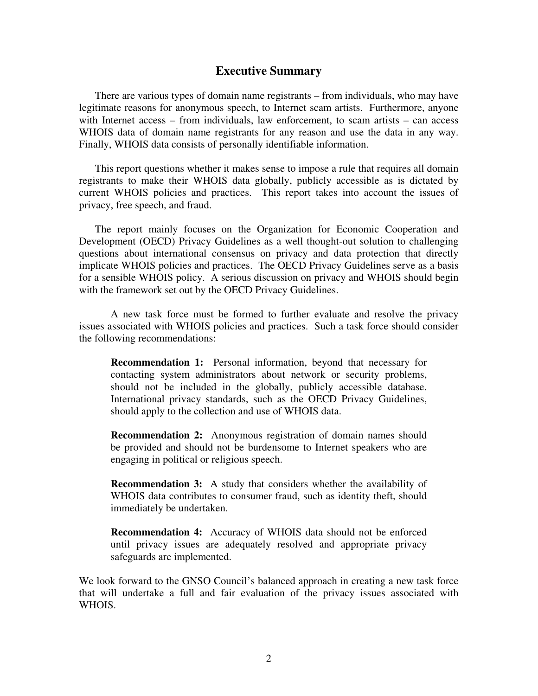#### **Executive Summary**

There are various types of domain name registrants – from individuals, who may have legitimate reasons for anonymous speech, to Internet scam artists. Furthermore, anyone with Internet access – from individuals, law enforcement, to scam artists – can access WHOIS data of domain name registrants for any reason and use the data in any way. Finally, WHOIS data consists of personally identifiable information.

This report questions whether it makes sense to impose a rule that requires all domain registrants to make their WHOIS data globally, publicly accessible as is dictated by current WHOIS policies and practices. This report takes into account the issues of privacy, free speech, and fraud.

The report mainly focuses on the Organization for Economic Cooperation and Development (OECD) Privacy Guidelines as a well thought-out solution to challenging questions about international consensus on privacy and data protection that directly implicate WHOIS policies and practices. The OECD Privacy Guidelines serve as a basis for a sensible WHOIS policy. A serious discussion on privacy and WHOIS should begin with the framework set out by the OECD Privacy Guidelines.

A new task force must be formed to further evaluate and resolve the privacy issues associated with WHOIS policies and practices. Such a task force should consider the following recommendations:

**Recommendation 1:** Personal information, beyond that necessary for contacting system administrators about network or security problems, should not be included in the globally, publicly accessible database. International privacy standards, such as the OECD Privacy Guidelines, should apply to the collection and use of WHOIS data.

**Recommendation 2:** Anonymous registration of domain names should be provided and should not be burdensome to Internet speakers who are engaging in political or religious speech.

**Recommendation 3:** A study that considers whether the availability of WHOIS data contributes to consumer fraud, such as identity theft, should immediately be undertaken.

**Recommendation 4:** Accuracy of WHOIS data should not be enforced until privacy issues are adequately resolved and appropriate privacy safeguards are implemented.

We look forward to the GNSO Council's balanced approach in creating a new task force that will undertake a full and fair evaluation of the privacy issues associated with WHOIS.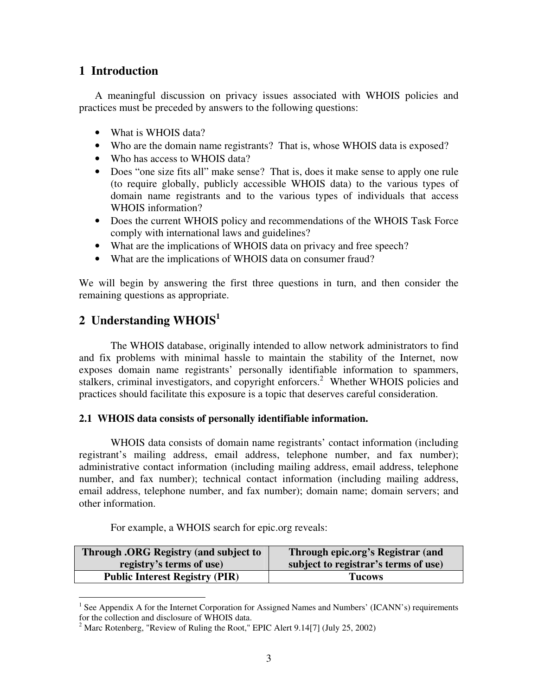## **1 Introduction**

A meaningful discussion on privacy issues associated with WHOIS policies and practices must be preceded by answers to the following questions:

- What is WHOIS data?
- Who are the domain name registrants? That is, whose WHOIS data is exposed?
- Who has access to WHOIS data?
- Does "one size fits all" make sense? That is, does it make sense to apply one rule (to require globally, publicly accessible WHOIS data) to the various types of domain name registrants and to the various types of individuals that access WHOIS information?
- Does the current WHOIS policy and recommendations of the WHOIS Task Force comply with international laws and guidelines?
- What are the implications of WHOIS data on privacy and free speech?
- What are the implications of WHOIS data on consumer fraud?

We will begin by answering the first three questions in turn, and then consider the remaining questions as appropriate.

# **2 Understanding WHOIS 1**

The WHOIS database, originally intended to allow network administrators to find and fix problems with minimal hassle to maintain the stability of the Internet, now exposes domain name registrants' personally identifiable information to spammers, stalkers, criminal investigators, and copyright enforcers.<sup>2</sup> Whether WHOIS policies and practices should facilitate this exposure is a topic that deserves careful consideration.

#### **2.1 WHOIS data consists of personally identifiable information.**

WHOIS data consists of domain name registrants' contact information (including registrant's mailing address, email address, telephone number, and fax number); administrative contact information (including mailing address, email address, telephone number, and fax number); technical contact information (including mailing address, email address, telephone number, and fax number); domain name; domain servers; and other information.

For example, a WHOIS search for epic.org reveals:

| <b>Through .ORG Registry (and subject to</b> | Through epic.org's Registrar (and    |
|----------------------------------------------|--------------------------------------|
| registry's terms of use                      | subject to registrar's terms of use) |
| <b>Public Interest Registry (PIR)</b>        | <b>Tucows</b>                        |

<sup>&</sup>lt;sup>1</sup> See Appendix A for the Internet Corporation for Assigned Names and Numbers' (ICANN's) requirements for the collection and disclosure of WHOIS data.

<sup>&</sup>lt;sup>2</sup> Marc Rotenberg, "Review of Ruling the Root," EPIC Alert 9.14[7] (July 25, 2002)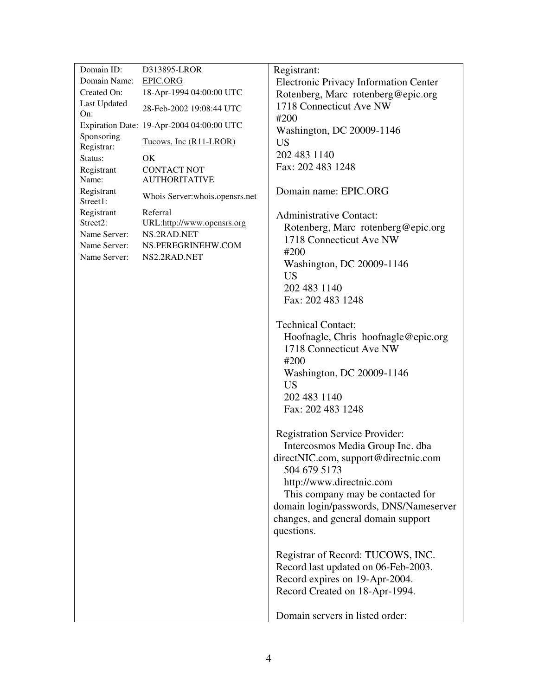| Domain ID:               | D313895-LROR                               | Registrant:                                  |
|--------------------------|--------------------------------------------|----------------------------------------------|
| Domain Name:             | <b>EPIC.ORG</b>                            | <b>Electronic Privacy Information Center</b> |
| Created On:              | 18-Apr-1994 04:00:00 UTC                   | Rotenberg, Marc rotenberg@epic.org           |
| Last Updated<br>On:      | 28-Feb-2002 19:08:44 UTC                   | 1718 Connecticut Ave NW                      |
|                          | Expiration Date: 19-Apr-2004 04:00:00 UTC  | #200<br>Washington, DC 20009-1146            |
| Sponsoring<br>Registrar: | Tucows, Inc (R11-LROR)                     | <b>US</b>                                    |
| Status:                  | OK                                         | 202 483 1140                                 |
| Registrant<br>Name:      | <b>CONTACT NOT</b><br><b>AUTHORITATIVE</b> | Fax: 202 483 1248                            |
| Registrant<br>Street1:   | Whois Server:whois.opensrs.net             | Domain name: EPIC.ORG                        |
| Registrant               | Referral                                   | <b>Administrative Contact:</b>               |
| Street2:                 | URL:http://www.opensrs.org                 | Rotenberg, Marc rotenberg@epic.org           |
| Name Server:             | NS.2RAD.NET                                | 1718 Connecticut Ave NW                      |
| Name Server:             | NS.PEREGRINEHW.COM                         | #200                                         |
| Name Server:             | NS2.2RAD.NET                               | Washington, DC 20009-1146                    |
|                          |                                            | <b>US</b>                                    |
|                          |                                            | 202 483 1140                                 |
|                          |                                            | Fax: 202 483 1248                            |
|                          |                                            |                                              |
|                          |                                            | <b>Technical Contact:</b>                    |
|                          |                                            | Hoofnagle, Chris hoofnagle@epic.org          |
|                          |                                            | 1718 Connecticut Ave NW                      |
|                          |                                            | #200                                         |
|                          |                                            | Washington, DC 20009-1146                    |
|                          |                                            | <b>US</b>                                    |
|                          |                                            | 202 483 1140                                 |
|                          |                                            | Fax: 202 483 1248                            |
|                          |                                            | <b>Registration Service Provider:</b>        |
|                          |                                            | Intercosmos Media Group Inc. dba             |
|                          |                                            | directNIC.com, support@directnic.com         |
|                          |                                            | 504 679 5173                                 |
|                          |                                            | http://www.directnic.com                     |
|                          |                                            | This company may be contacted for            |
|                          |                                            | domain login/passwords, DNS/Nameserver       |
|                          |                                            | changes, and general domain support          |
|                          |                                            | questions.                                   |
|                          |                                            |                                              |
|                          |                                            | Registrar of Record: TUCOWS, INC.            |
|                          |                                            | Record last updated on 06-Feb-2003.          |
|                          |                                            | Record expires on 19-Apr-2004.               |
|                          |                                            | Record Created on 18-Apr-1994.               |
|                          |                                            |                                              |
|                          |                                            | Domain servers in listed order:              |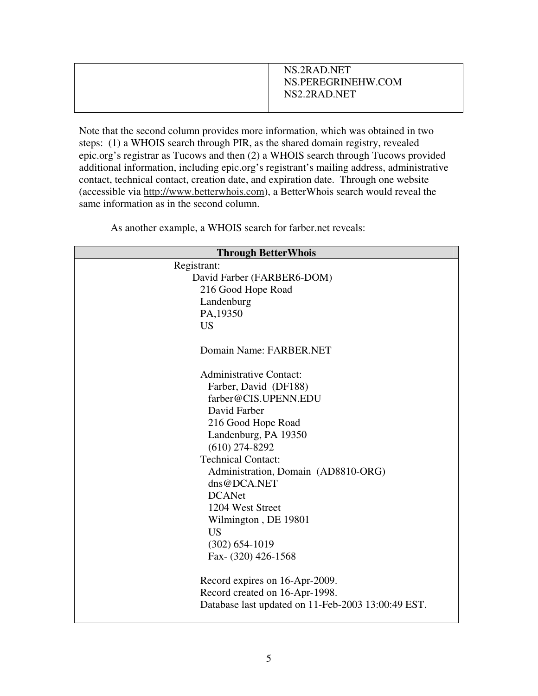| NS.2RAD.NET<br>NS.PEREGRINEHW.COM<br>NS2.2RAD.NET |
|---------------------------------------------------|
|                                                   |

Note that the second column provides more information, which was obtained in two steps: (1) a WHOIS search through PIR, as the shared domain registry, revealed epic.org's registrar as Tucows and then (2) a WHOIS search through Tucows provided additional information, including epic.org's registrant's mailing address, administrative contact, technical contact, creation date, and expiration date. Through one website (accessible via http://www.betterwhois.com), a BetterWhois search would reveal the same information as in the second column.

**Through BetterWhois** Registrant: David Farber (FARBER6-DOM) 216 Good Hope Road Landenburg PA,19350 US Domain Name: FARBER.NET Administrative Contact: Farber, David (DF188) farber@CIS.UPENN.EDU David Farber 216 Good Hope Road Landenburg, PA 19350 (610) 274-8292 Technical Contact: Administration, Domain (AD8810-ORG) dns@DCA.NET DCANet 1204 West Street Wilmington , DE 19801 US (302) 654-1019 Fax- (320) 426-1568 Record expires on 16-Apr-2009. Record created on 16-Apr-1998. Database last updated on 11-Feb-2003 13:00:49 EST.

As another example, a WHOIS search for farber.net reveals: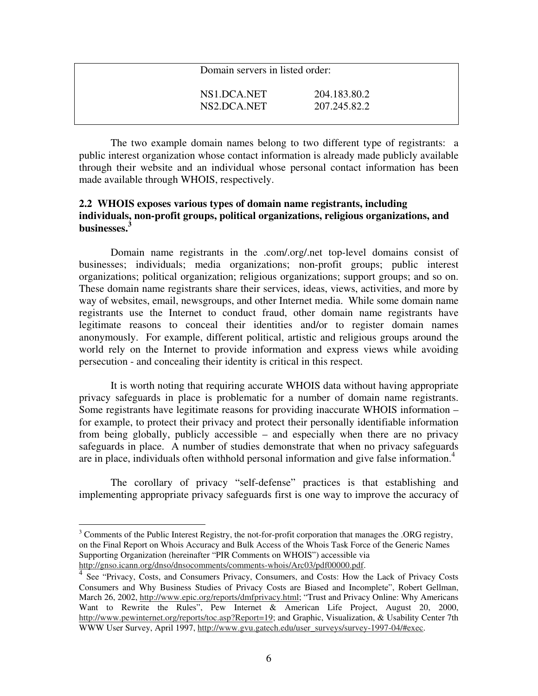| Domain servers in listed order: |              |  |
|---------------------------------|--------------|--|
| NS1.DCA.NET                     | 204.183.80.2 |  |
| NS2.DCA.NET                     | 207.245.82.2 |  |

The two example domain names belong to two different type of registrants: a public interest organization whose contact information is already made publicly available through their website and an individual whose personal contact information has been made available through WHOIS, respectively.

### **2.2 WHOIS exposes various types of domain name registrants, including individuals, non-profit groups, political organizations, religious organizations, and businesses. 3**

Domain name registrants in the .com/.org/.net top-level domains consist of businesses; individuals; media organizations; non-profit groups; public interest organizations; political organization; religious organizations; support groups; and so on. These domain name registrants share their services, ideas, views, activities, and more by way of websites, email, newsgroups, and other Internet media. While some domain name registrants use the Internet to conduct fraud, other domain name registrants have legitimate reasons to conceal their identities and/or to register domain names anonymously. For example, different political, artistic and religious groups around the world rely on the Internet to provide information and express views while avoiding persecution - and concealing their identity is critical in this respect.

It is worth noting that requiring accurate WHOIS data without having appropriate privacy safeguards in place is problematic for a number of domain name registrants. Some registrants have legitimate reasons for providing inaccurate WHOIS information – for example, to protect their privacy and protect their personally identifiable information from being globally, publicly accessible – and especially when there are no privacy safeguards in place. A number of studies demonstrate that when no privacy safeguards are in place, individuals often withhold personal information and give false information. 4

The corollary of privacy "self-defense" practices is that establishing and implementing appropriate privacy safeguards first is one way to improve the accuracy of

<sup>3</sup> Comments of the Public Interest Registry, the not-for-profit corporation that manages the .ORG registry, on the Final Report on Whois Accuracy and Bulk Access of the Whois Task Force of the Generic Names Supporting Organization (hereinafter "PIR Comments on WHOIS") accessible via http://gnso.icann.org/dnso/dnsocomments/comments-whois/Arc03/pdf00000.pdf.

<sup>4</sup> See "Privacy, Costs, and Consumers Privacy, Consumers, and Costs: How the Lack of Privacy Costs Consumers and Why Business Studies of Privacy Costs are Biased and Incomplete", Robert Gellman, March 26, 2002, http://www.epic.org/reports/dmfprivacy.html; "Trust and Privacy Online: Why Americans Want to Rewrite the Rules", Pew Internet & American Life Project, August 20, 2000, http://www.pewinternet.org/reports/toc.asp?Report=19; and Graphic, Visualization, & Usability Center 7th WWW User Survey, April 1997, http://www.gvu.gatech.edu/user\_surveys/survey-1997-04/#exec.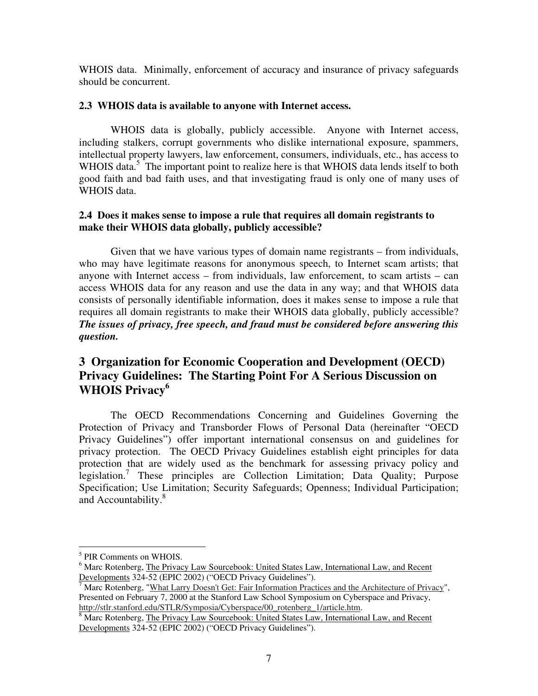WHOIS data. Minimally, enforcement of accuracy and insurance of privacy safeguards should be concurrent.

#### **2.3 WHOIS data is available to anyone with Internet access.**

WHOIS data is globally, publicly accessible. Anyone with Internet access, including stalkers, corrupt governments who dislike international exposure, spammers, intellectual property lawyers, law enforcement, consumers, individuals, etc., has access to WHOIS data.<sup>5</sup> The important point to realize here is that WHOIS data lends itself to both good faith and bad faith uses, and that investigating fraud is only one of many uses of WHOIS data.

#### **2.4 Does it makes sense to impose a rule that requires all domain registrants to make their WHOIS data globally, publicly accessible?**

Given that we have various types of domain name registrants – from individuals, who may have legitimate reasons for anonymous speech, to Internet scam artists; that anyone with Internet access – from individuals, law enforcement, to scam artists – can access WHOIS data for any reason and use the data in any way; and that WHOIS data consists of personally identifiable information, does it makes sense to impose a rule that requires all domain registrants to make their WHOIS data globally, publicly accessible? *The issues of privacy, free speech, and fraud must be considered before answering this question.*

# **3 Organization for Economic Cooperation and Development (OECD) Privacy Guidelines: The Starting Point For A Serious Discussion on WHOIS Privacy 6**

The OECD Recommendations Concerning and Guidelines Governing the Protection of Privacy and Transborder Flows of Personal Data (hereinafter "OECD Privacy Guidelines") offer important international consensus on and guidelines for privacy protection. The OECD Privacy Guidelines establish eight principles for data protection that are widely used as the benchmark for assessing privacy policy and legislation. 7 These principles are Collection Limitation; Data Quality; Purpose Specification; Use Limitation; Security Safeguards; Openness; Individual Participation; and Accountability. 8

<sup>5</sup> PIR Comments on WHOIS.

<sup>&</sup>lt;sup>6</sup> Marc Rotenberg, The Privacy Law Sourcebook: United States Law, International Law, and Recent Developments 324-52 (EPIC 2002) ("OECD Privacy Guidelines").

<sup>&</sup>lt;sup>7</sup> Marc Rotenberg, "What Larry Doesn't Get: Fair Information Practices and the Architecture of Privacy", Presented on February 7, 2000 at the Stanford Law School Symposium on Cyberspace and Privacy, http://stlr.stanford.edu/STLR/Symposia/Cyberspace/00\_rotenberg\_1/article.htm.

<sup>&</sup>lt;sup>8</sup> Marc Rotenberg, The Privacy Law Sourcebook: United States Law, International Law, and Recent Developments 324-52 (EPIC 2002) ("OECD Privacy Guidelines").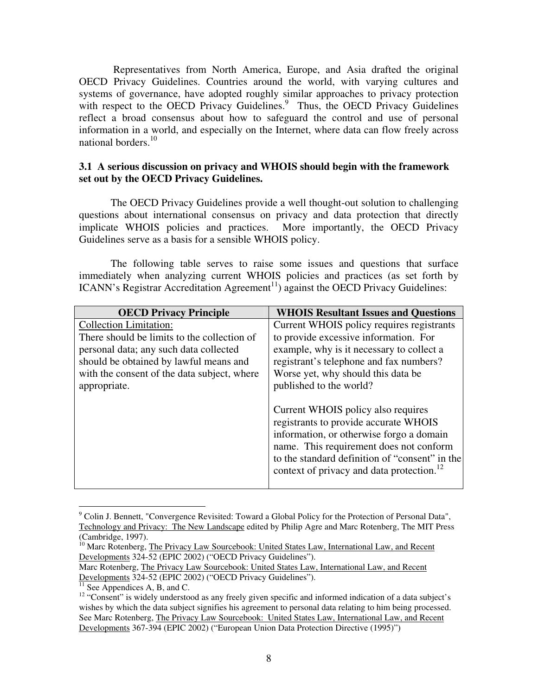Representatives from North America, Europe, and Asia drafted the original OECD Privacy Guidelines. Countries around the world, with varying cultures and systems of governance, have adopted roughly similar approaches to privacy protection with respect to the OECD Privacy Guidelines.<sup>9</sup> Thus, the OECD Privacy Guidelines reflect a broad consensus about how to safeguard the control and use of personal information in a world, and especially on the Internet, where data can flow freely across national borders.<sup>10</sup>

#### **3.1 A serious discussion on privacy and WHOIS should begin with the framework set out by the OECD Privacy Guidelines.**

The OECD Privacy Guidelines provide a well thought-out solution to challenging questions about international consensus on privacy and data protection that directly implicate WHOIS policies and practices. More importantly, the OECD Privacy Guidelines serve as a basis for a sensible WHOIS policy.

The following table serves to raise some issues and questions that surface immediately when analyzing current WHOIS policies and practices (as set forth by ICANN's Registrar Accreditation Agreement<sup>11</sup>) against the OECD Privacy Guidelines:

| <b>OECD Privacy Principle</b>               | <b>WHOIS Resultant Issues and Questions</b>           |
|---------------------------------------------|-------------------------------------------------------|
| <b>Collection Limitation:</b>               | Current WHOIS policy requires registrants             |
| There should be limits to the collection of | to provide excessive information. For                 |
| personal data; any such data collected      | example, why is it necessary to collect a             |
| should be obtained by lawful means and      | registrant's telephone and fax numbers?               |
| with the consent of the data subject, where | Worse yet, why should this data be.                   |
| appropriate.                                | published to the world?                               |
|                                             | Current WHOIS policy also requires                    |
|                                             | registrants to provide accurate WHOIS                 |
|                                             | information, or otherwise forgo a domain              |
|                                             | name. This requirement does not conform               |
|                                             | to the standard definition of "consent" in the        |
|                                             | context of privacy and data protection. <sup>12</sup> |
|                                             |                                                       |

 $9^9$  Colin J. Bennett, "Convergence Revisited: Toward a Global Policy for the Protection of Personal Data", Technology and Privacy: The New Landscape edited by Philip Agre and Marc Rotenberg, The MIT Press (Cambridge, 1997).

<sup>&</sup>lt;sup>10</sup> Marc Rotenberg, The Privacy Law Sourcebook: United States Law, International Law, and Recent Developments 324-52 (EPIC 2002) ("OECD Privacy Guidelines").

Marc Rotenberg, The Privacy Law Sourcebook: United States Law, International Law, and Recent Developments 324-52 (EPIC 2002) ("OECD Privacy Guidelines").

<sup>&</sup>lt;sup>11</sup> See Appendices A, B, and C.

<sup>&</sup>lt;sup>12</sup> "Consent" is widely understood as any freely given specific and informed indication of a data subject's wishes by which the data subject signifies his agreement to personal data relating to him being processed. See Marc Rotenberg, The Privacy Law Sourcebook: United States Law, International Law, and Recent Developments 367-394 (EPIC 2002) ("European Union Data Protection Directive (1995)")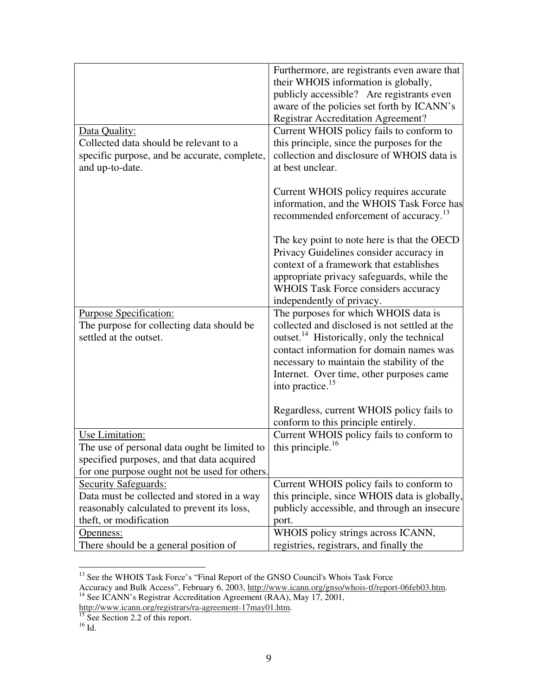|                                                                                                           | Furthermore, are registrants even aware that<br>their WHOIS information is globally,<br>publicly accessible? Are registrants even<br>aware of the policies set forth by ICANN's<br><b>Registrar Accreditation Agreement?</b>                       |
|-----------------------------------------------------------------------------------------------------------|----------------------------------------------------------------------------------------------------------------------------------------------------------------------------------------------------------------------------------------------------|
| Data Quality:                                                                                             | Current WHOIS policy fails to conform to                                                                                                                                                                                                           |
| Collected data should be relevant to a<br>specific purpose, and be accurate, complete,<br>and up-to-date. | this principle, since the purposes for the<br>collection and disclosure of WHOIS data is<br>at best unclear.                                                                                                                                       |
|                                                                                                           | Current WHOIS policy requires accurate<br>information, and the WHOIS Task Force has<br>recommended enforcement of accuracy. <sup>13</sup>                                                                                                          |
|                                                                                                           | The key point to note here is that the OECD<br>Privacy Guidelines consider accuracy in<br>context of a framework that establishes<br>appropriate privacy safeguards, while the<br>WHOIS Task Force considers accuracy<br>independently of privacy. |
| <b>Purpose Specification:</b>                                                                             | The purposes for which WHOIS data is                                                                                                                                                                                                               |
| The purpose for collecting data should be                                                                 | collected and disclosed is not settled at the                                                                                                                                                                                                      |
| settled at the outset.                                                                                    | outset. <sup>14</sup> Historically, only the technical                                                                                                                                                                                             |
|                                                                                                           | contact information for domain names was                                                                                                                                                                                                           |
|                                                                                                           | necessary to maintain the stability of the                                                                                                                                                                                                         |
|                                                                                                           | Internet. Over time, other purposes came                                                                                                                                                                                                           |
|                                                                                                           | into practice. <sup>15</sup>                                                                                                                                                                                                                       |
|                                                                                                           | Regardless, current WHOIS policy fails to<br>conform to this principle entirely.                                                                                                                                                                   |
| Use Limitation:                                                                                           | Current WHOIS policy fails to conform to                                                                                                                                                                                                           |
| The use of personal data ought be limited to                                                              | this principle. <sup>16</sup>                                                                                                                                                                                                                      |
| specified purposes, and that data acquired                                                                |                                                                                                                                                                                                                                                    |
| for one purpose ought not be used for others.                                                             |                                                                                                                                                                                                                                                    |
| <b>Security Safeguards:</b>                                                                               | Current WHOIS policy fails to conform to                                                                                                                                                                                                           |
| Data must be collected and stored in a way                                                                | this principle, since WHOIS data is globally,                                                                                                                                                                                                      |
| reasonably calculated to prevent its loss,                                                                | publicly accessible, and through an insecure                                                                                                                                                                                                       |
| theft, or modification                                                                                    | port.                                                                                                                                                                                                                                              |
| Openness:                                                                                                 | WHOIS policy strings across ICANN,                                                                                                                                                                                                                 |
| There should be a general position of                                                                     | registries, registrars, and finally the                                                                                                                                                                                                            |

<sup>&</sup>lt;sup>13</sup> See the WHOIS Task Force's "Final Report of the GNSO Council's Whois Task Force

Accuracy and Bulk Access", February 6, 2003, http://www.icann.org/gnso/whois-tf/report-06feb03.htm.<br><sup>14</sup> See ICANN's Registrar Accreditation Agreement (RAA), May 17, 2001,

http://www.icann.org/registrars/ra-agreement-17may01.htm.<br><sup>15</sup> See Section 2.2 of this report.<br><sup>16</sup> Id.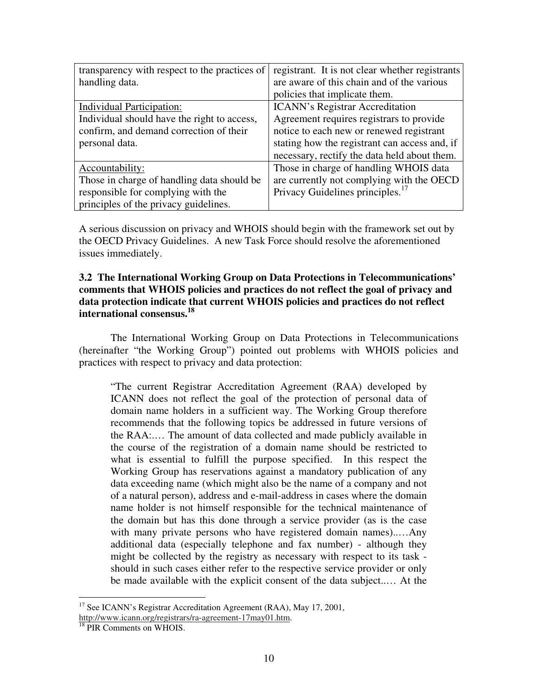| transparency with respect to the practices of | registrant. It is not clear whether registrants |
|-----------------------------------------------|-------------------------------------------------|
| handling data.                                | are aware of this chain and of the various      |
|                                               | policies that implicate them.                   |
| <b>Individual Participation:</b>              | <b>ICANN's Registrar Accreditation</b>          |
| Individual should have the right to access,   | Agreement requires registrars to provide        |
| confirm, and demand correction of their       | notice to each new or renewed registrant        |
| personal data.                                | stating how the registrant can access and, if   |
|                                               | necessary, rectify the data held about them.    |
| Accountability:                               | Those in charge of handling WHOIS data          |
| Those in charge of handling data should be    | are currently not complying with the OECD       |
| responsible for complying with the            | Privacy Guidelines principles. <sup>17</sup>    |
| principles of the privacy guidelines.         |                                                 |

A serious discussion on privacy and WHOIS should begin with the framework set out by the OECD Privacy Guidelines. A new Task Force should resolve the aforementioned issues immediately.

### **3.2 The International Working Group on Data Protections in Telecommunications' comments that WHOIS policies and practices do not reflect the goal of privacy and data protection indicate that current WHOIS policies and practices do not reflect international consensus. 18**

The International Working Group on Data Protections in Telecommunications (hereinafter "the Working Group") pointed out problems with WHOIS policies and practices with respect to privacy and data protection:

"The current Registrar Accreditation Agreement (RAA) developed by ICANN does not reflect the goal of the protection of personal data of domain name holders in a sufficient way. The Working Group therefore recommends that the following topics be addressed in future versions of the RAA:.… The amount of data collected and made publicly available in the course of the registration of a domain name should be restricted to what is essential to fulfill the purpose specified. In this respect the Working Group has reservations against a mandatory publication of any data exceeding name (which might also be the name of a company and not of a natural person), address and e-mail-address in cases where the domain name holder is not himself responsible for the technical maintenance of the domain but has this done through a service provider (as is the case with many private persons who have registered domain names)..…Any additional data (especially telephone and fax number) - although they might be collected by the registry as necessary with respect to its task should in such cases either refer to the respective service provider or only be made available with the explicit consent of the data subject..… At the

<sup>&</sup>lt;sup>17</sup> See ICANN's Registrar Accreditation Agreement (RAA), May 17, 2001, http://www.icann.org/registrars/ra-agreement-17may01.htm.

<sup>&</sup>lt;sup>18</sup> PIR Comments on WHOIS.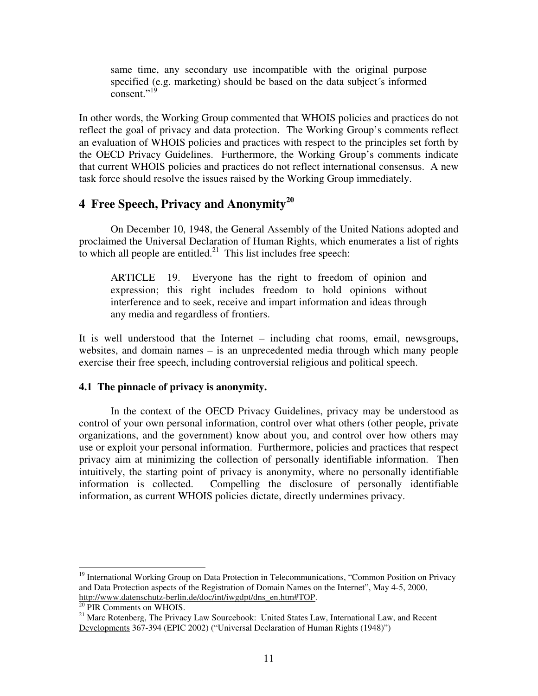same time, any secondary use incompatible with the original purpose specified (e.g. marketing) should be based on the data subject's informed  $\overline{\text{constant}}$ ."<sup>19</sup>

In other words, the Working Group commented that WHOIS policies and practices do not reflect the goal of privacy and data protection. The Working Group's comments reflect an evaluation of WHOIS policies and practices with respect to the principles set forth by the OECD Privacy Guidelines. Furthermore, the Working Group's comments indicate that current WHOIS policies and practices do not reflect international consensus. A new task force should resolve the issues raised by the Working Group immediately.

# **4 Free Speech, Privacy and Anonymity 20**

On December 10, 1948, the General Assembly of the United Nations adopted and proclaimed the Universal Declaration of Human Rights, which enumerates a list of rights to which all people are entitled. $21$  This list includes free speech:

ARTICLE 19. Everyone has the right to freedom of opinion and expression; this right includes freedom to hold opinions without interference and to seek, receive and impart information and ideas through any media and regardless of frontiers.

It is well understood that the Internet – including chat rooms, email, newsgroups, websites, and domain names – is an unprecedented media through which many people exercise their free speech, including controversial religious and political speech.

#### **4.1 The pinnacle of privacy is anonymity.**

In the context of the OECD Privacy Guidelines, privacy may be understood as control of your own personal information, control over what others (other people, private organizations, and the government) know about you, and control over how others may use or exploit your personal information. Furthermore, policies and practices that respect privacy aim at minimizing the collection of personally identifiable information. Then intuitively, the starting point of privacy is anonymity, where no personally identifiable information is collected. Compelling the disclosure of personally identifiable information, as current WHOIS policies dictate, directly undermines privacy.

<sup>&</sup>lt;sup>19</sup> International Working Group on Data Protection in Telecommunications, "Common Position on Privacy and Data Protection aspects of the Registration of Domain Names on the Internet", May 4-5, 2000, http://www.datenschutz-berlin.de/doc/int/iwgdpt/dns\_en.htm#TOP.

<sup>&</sup>lt;sup>20</sup> PIR Comments on WHOIS.

<sup>&</sup>lt;sup>21</sup> Marc Rotenberg, The Privacy Law Sourcebook: United States Law, International Law, and Recent Developments 367-394 (EPIC 2002) ("Universal Declaration of Human Rights (1948)")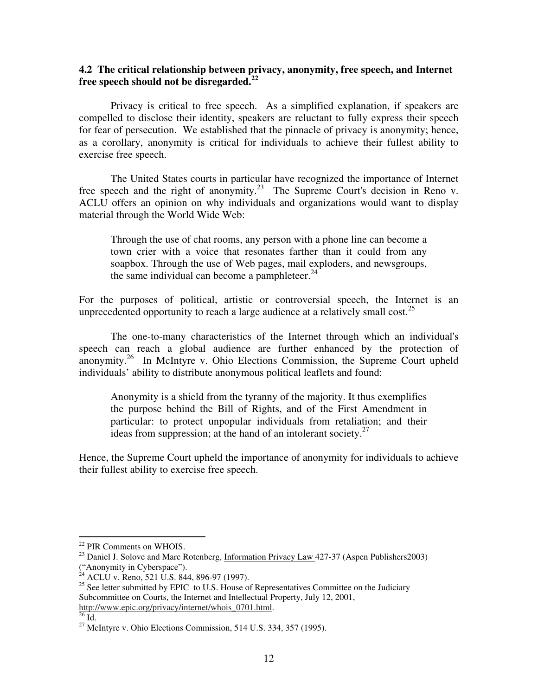### **4.2 The critical relationship between privacy, anonymity, free speech, and Internet free speech should not be disregarded. 22**

Privacy is critical to free speech. As a simplified explanation, if speakers are compelled to disclose their identity, speakers are reluctant to fully express their speech for fear of persecution. We established that the pinnacle of privacy is anonymity; hence, as a corollary, anonymity is critical for individuals to achieve their fullest ability to exercise free speech.

The United States courts in particular have recognized the importance of Internet free speech and the right of anonymity.<sup>23</sup> The Supreme Court's decision in Reno v. ACLU offers an opinion on why individuals and organizations would want to display material through the World Wide Web:

Through the use of chat rooms, any person with a phone line can become a town crier with a voice that resonates farther than it could from any soapbox. Through the use of Web pages, mail exploders, and newsgroups, the same individual can become a pamphleteer.<sup>24</sup>

For the purposes of political, artistic or controversial speech, the Internet is an unprecedented opportunity to reach a large audience at a relatively small cost.<sup>25</sup>

The one-to-many characteristics of the Internet through which an individual's speech can reach a global audience are further enhanced by the protection of anonymity.<sup>26</sup> In McIntyre v. Ohio Elections Commission, the Supreme Court upheld individuals' ability to distribute anonymous political leaflets and found:

Anonymity is a shield from the tyranny of the majority. It thus exemplifies the purpose behind the Bill of Rights, and of the First Amendment in particular: to protect unpopular individuals from retaliation; and their ideas from suppression; at the hand of an intolerant society.<sup>27</sup>

Hence, the Supreme Court upheld the importance of anonymity for individuals to achieve their fullest ability to exercise free speech.

<sup>&</sup>lt;sup>22</sup> PIR Comments on WHOIS.

<sup>&</sup>lt;sup>23</sup> Daniel J. Solove and Marc Rotenberg, *Information Privacy Law 427-37* (Aspen Publishers2003) ("Anonymity in Cyberspace").

 $^{24}$  ACLU v. Reno, 521 U.S. 844, 896-97 (1997).

 $25$  See letter submitted by EPIC to U.S. House of Representatives Committee on the Judiciary Subcommittee on Courts, the Internet and Intellectual Property, July 12, 2001, http://www.epic.org/privacy/internet/whois\_0701.html.

 $^{26}$  Id.

 $27$  McIntyre v. Ohio Elections Commission, 514 U.S. 334, 357 (1995).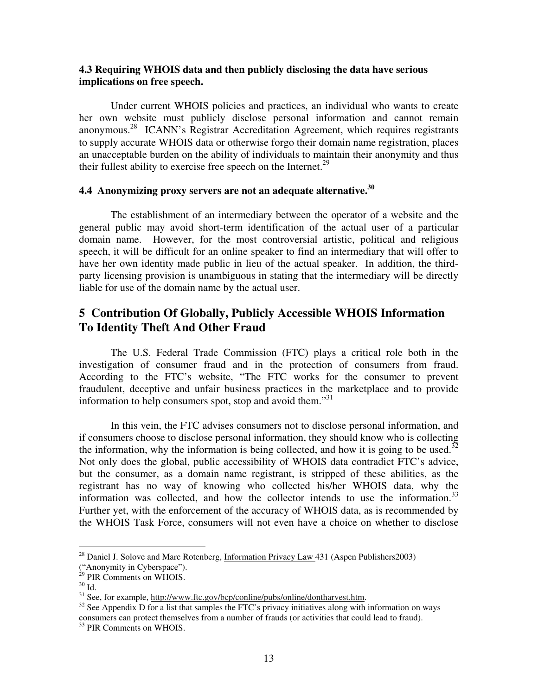#### **4.3 Requiring WHOIS data and then publicly disclosing the data have serious implications on free speech.**

Under current WHOIS policies and practices, an individual who wants to create her own website must publicly disclose personal information and cannot remain anonymous. 28 ICANN's Registrar Accreditation Agreement, which requires registrants to supply accurate WHOIS data or otherwise forgo their domain name registration, places an unacceptable burden on the ability of individuals to maintain their anonymity and thus their fullest ability to exercise free speech on the Internet.<sup>29</sup>

## **4.4 Anonymizing proxy servers are not an adequate alternative. 30**

The establishment of an intermediary between the operator of a website and the general public may avoid short-term identification of the actual user of a particular domain name. However, for the most controversial artistic, political and religious speech, it will be difficult for an online speaker to find an intermediary that will offer to have her own identity made public in lieu of the actual speaker. In addition, the thirdparty licensing provision is unambiguous in stating that the intermediary will be directly liable for use of the domain name by the actual user.

## **5 Contribution Of Globally, Publicly Accessible WHOIS Information To Identity Theft And Other Fraud**

The U.S. Federal Trade Commission (FTC) plays a critical role both in the investigation of consumer fraud and in the protection of consumers from fraud. According to the FTC's website, "The FTC works for the consumer to prevent fraudulent, deceptive and unfair business practices in the marketplace and to provide information to help consumers spot, stop and avoid them."31

In this vein, the FTC advises consumers not to disclose personal information, and if consumers choose to disclose personal information, they should know who is collecting the information, why the information is being collected, and how it is going to be used.<sup>32</sup> Not only does the global, public accessibility of WHOIS data contradict FTC's advice, but the consumer, as a domain name registrant, is stripped of these abilities, as the registrant has no way of knowing who collected his/her WHOIS data, why the information was collected, and how the collector intends to use the information.<sup>33</sup> Further yet, with the enforcement of the accuracy of WHOIS data, as is recommended by the WHOIS Task Force, consumers will not even have a choice on whether to disclose

 $^{28}$  Daniel J. Solove and Marc Rotenberg, Information Privacy Law 431 (Aspen Publishers2003)

<sup>(&</sup>quot;Anonymity in Cyberspace"). 29 PIR Comments on WHOIS.

 $30$  Id.

<sup>&</sup>lt;sup>31</sup> See, for example, http://www.ftc.gov/bcp/conline/pubs/online/dontharvest.htm.

 $32$  See Appendix D for a list that samples the FTC's privacy initiatives along with information on ways consumers can protect themselves from a number of frauds (or activities that could lead to fraud). 33 PIR Comments on WHOIS.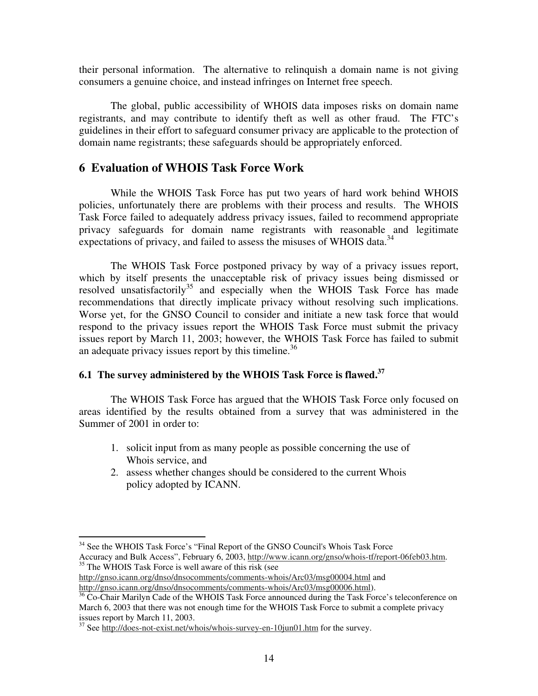their personal information. The alternative to relinquish a domain name is not giving consumers a genuine choice, and instead infringes on Internet free speech.

The global, public accessibility of WHOIS data imposes risks on domain name registrants, and may contribute to identify theft as well as other fraud. The FTC's guidelines in their effort to safeguard consumer privacy are applicable to the protection of domain name registrants; these safeguards should be appropriately enforced.

### **6 Evaluation of WHOIS Task Force Work**

While the WHOIS Task Force has put two years of hard work behind WHOIS policies, unfortunately there are problems with their process and results. The WHOIS Task Force failed to adequately address privacy issues, failed to recommend appropriate privacy safeguards for domain name registrants with reasonable and legitimate expectations of privacy, and failed to assess the misuses of WHOIS data.<sup>34</sup>

The WHOIS Task Force postponed privacy by way of a privacy issues report, which by itself presents the unacceptable risk of privacy issues being dismissed or resolved unsatisfactorily<sup>35</sup> and especially when the WHOIS Task Force has made recommendations that directly implicate privacy without resolving such implications. Worse yet, for the GNSO Council to consider and initiate a new task force that would respond to the privacy issues report the WHOIS Task Force must submit the privacy issues report by March 11, 2003; however, the WHOIS Task Force has failed to submit an adequate privacy issues report by this timeline.<sup>36</sup>

## **6.1 The survey administered by the WHOIS Task Force is flawed. 37**

The WHOIS Task Force has argued that the WHOIS Task Force only focused on areas identified by the results obtained from a survey that was administered in the Summer of 2001 in order to:

- 1. solicit input from as many people as possible concerning the use of Whois service, and
- 2. assess whether changes should be considered to the current Whois policy adopted by ICANN.

http://gnso.icann.org/dnso/dnsocomments/comments-whois/Arc03/msg00004.html and http://gnso.icann.org/dnso/dnsocomments/comments-whois/Arc03/msg00006.html).

<sup>&</sup>lt;sup>34</sup> See the WHOIS Task Force's "Final Report of the GNSO Council's Whois Task Force Accuracy and Bulk Access", February 6, 2003, http://www.icann.org/gnso/whois-tf/report-06feb03.htm. <sup>35</sup> The WHOIS Task Force is well aware of this risk (see

<sup>&</sup>lt;sup>36</sup> Co-Chair Marilyn Cade of the WHOIS Task Force announced during the Task Force's teleconference on March 6, 2003 that there was not enough time for the WHOIS Task Force to submit a complete privacy issues report by March 11, 2003.

<sup>&</sup>lt;sup>37</sup> See http://does-not-exist.net/whois/whois-survey-en-10jun01.htm for the survey.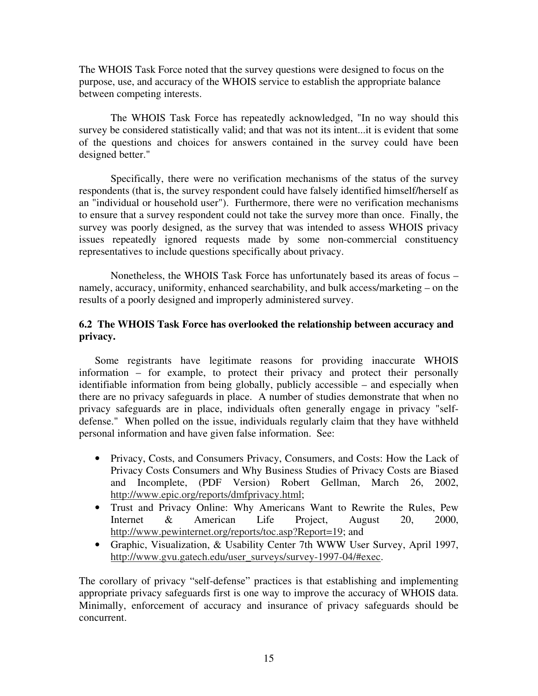The WHOIS Task Force noted that the survey questions were designed to focus on the purpose, use, and accuracy of the WHOIS service to establish the appropriate balance between competing interests.

The WHOIS Task Force has repeatedly acknowledged, "In no way should this survey be considered statistically valid; and that was not its intent...it is evident that some of the questions and choices for answers contained in the survey could have been designed better."

Specifically, there were no verification mechanisms of the status of the survey respondents (that is, the survey respondent could have falsely identified himself/herself as an "individual or household user"). Furthermore, there were no verification mechanisms to ensure that a survey respondent could not take the survey more than once. Finally, the survey was poorly designed, as the survey that was intended to assess WHOIS privacy issues repeatedly ignored requests made by some non-commercial constituency representatives to include questions specifically about privacy.

Nonetheless, the WHOIS Task Force has unfortunately based its areas of focus – namely, accuracy, uniformity, enhanced searchability, and bulk access/marketing – on the results of a poorly designed and improperly administered survey.

### **6.2 The WHOIS Task Force has overlooked the relationship between accuracy and privacy.**

Some registrants have legitimate reasons for providing inaccurate WHOIS information – for example, to protect their privacy and protect their personally identifiable information from being globally, publicly accessible – and especially when there are no privacy safeguards in place. A number of studies demonstrate that when no privacy safeguards are in place, individuals often generally engage in privacy "selfdefense." When polled on the issue, individuals regularly claim that they have withheld personal information and have given false information. See:

- Privacy, Costs, and Consumers Privacy, Consumers, and Costs: How the Lack of Privacy Costs Consumers and Why Business Studies of Privacy Costs are Biased and Incomplete, (PDF Version) Robert Gellman, March 26, 2002, http://www.epic.org/reports/dmfprivacy.html;
- Trust and Privacy Online: Why Americans Want to Rewrite the Rules, Pew Internet & American Life Project, August 20, 2000, http://www.pewinternet.org/reports/toc.asp?Report=19; and
- Graphic, Visualization, & Usability Center 7th WWW User Survey, April 1997, http://www.gvu.gatech.edu/user\_surveys/survey-1997-04/#exec.

The corollary of privacy "self-defense" practices is that establishing and implementing appropriate privacy safeguards first is one way to improve the accuracy of WHOIS data. Minimally, enforcement of accuracy and insurance of privacy safeguards should be concurrent.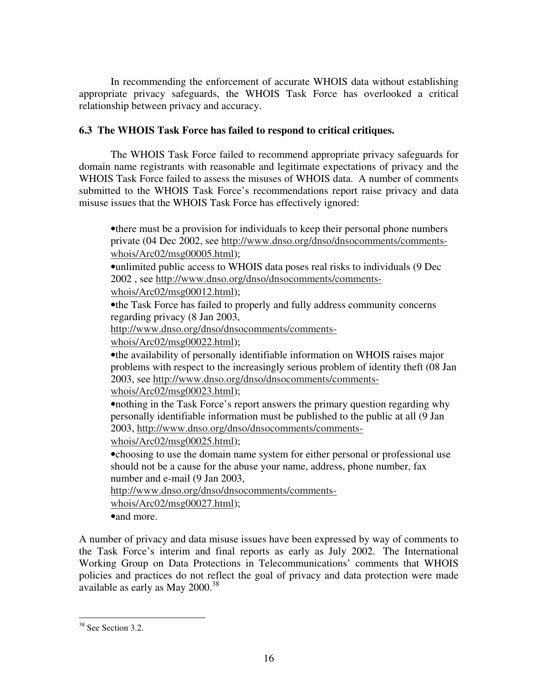In recommending the enforcement of accurate WHOIS data without establishing appropriate privacy safeguards, the WHOIS Task Force has overlooked a critical relationship between privacy and accuracy.

### **6.3 The WHOIS Task Force has failed to respond to critical critiques.**

The WHOIS Task Force failed to recommend appropriate privacy safeguards for domain name registrants with reasonable and legitimate expectations of privacy and the WHOIS Task Force failed to assess the misuses of WHOIS data. A number of comments submitted to the WHOIS Task Force's recommendations report raise privacy and data misuse issues that the WHOIS Task Force has effectively ignored:

•there must be a provision for individuals to keep their personal phone numbers private (04 Dec 2002, see http://www.dnso.org/dnso/dnsocomments/commentswhois/Arc02/msg00005.html);

•unlimited public access to WHOIS data poses real risks to individuals (9 Dec 2002 , see http://www.dnso.org/dnso/dnsocomments/comments-

whois/Arc02/msg00012.html);

•the Task Force has failed to properly and fully address community concerns regarding privacy (8 Jan 2003,

http://www.dnso.org/dnso/dnsocomments/comments-

whois/Arc02/msg00022.html);

•the availability of personally identifiable information on WHOIS raises major problems with respect to the increasingly serious problem of identity theft (08 Jan 2003, see http://www.dnso.org/dnso/dnsocomments/comments-

whois/Arc02/msg00023.html);

•nothing in the Task Force's report answers the primary question regarding why personally identifiable information must be published to the public at all (9 Jan 2003, http://www.dnso.org/dnso/dnsocomments/comments-

whois/Arc02/msg00025.html);

•choosing to use the domain name system for either personal or professional use should not be a cause for the abuse your name, address, phone number, fax number and e-mail (9 Jan 2003,

http://www.dnso.org/dnso/dnsocomments/comments-

whois/Arc02/msg00027.html);

•and more.

A number of privacy and data misuse issues have been expressed by way of comments to the Task Force's interim and final reports as early as July 2002. The International Working Group on Data Protections in Telecommunications' comments that WHOIS policies and practices do not reflect the goal of privacy and data protection were made available as early as May 2000.<sup>38</sup>

<sup>&</sup>lt;sup>38</sup> See Section 3.2.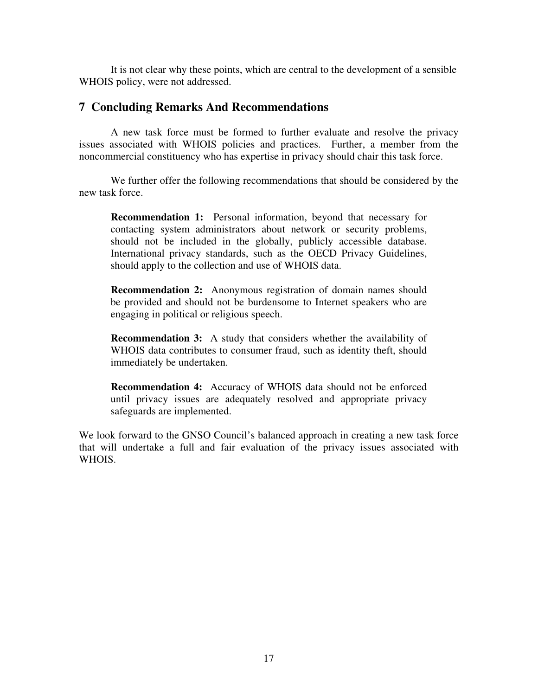It is not clear why these points, which are central to the development of a sensible WHOIS policy, were not addressed.

#### **7 Concluding Remarks And Recommendations**

A new task force must be formed to further evaluate and resolve the privacy issues associated with WHOIS policies and practices. Further, a member from the noncommercial constituency who has expertise in privacy should chair this task force.

We further offer the following recommendations that should be considered by the new task force.

**Recommendation 1:** Personal information, beyond that necessary for contacting system administrators about network or security problems, should not be included in the globally, publicly accessible database. International privacy standards, such as the OECD Privacy Guidelines, should apply to the collection and use of WHOIS data.

**Recommendation 2:** Anonymous registration of domain names should be provided and should not be burdensome to Internet speakers who are engaging in political or religious speech.

**Recommendation 3:** A study that considers whether the availability of WHOIS data contributes to consumer fraud, such as identity theft, should immediately be undertaken.

**Recommendation 4:** Accuracy of WHOIS data should not be enforced until privacy issues are adequately resolved and appropriate privacy safeguards are implemented.

We look forward to the GNSO Council's balanced approach in creating a new task force that will undertake a full and fair evaluation of the privacy issues associated with WHOIS.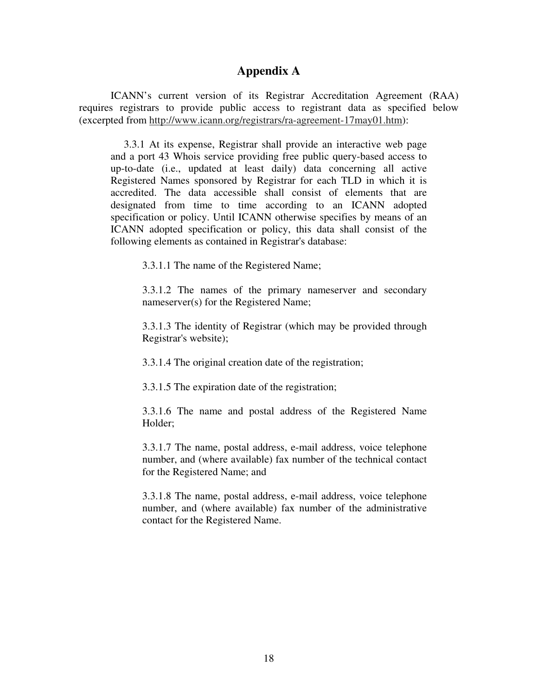### **Appendix A**

ICANN's current version of its Registrar Accreditation Agreement (RAA) requires registrars to provide public access to registrant data as specified below (excerpted from http://www.icann.org/registrars/ra-agreement-17may01.htm):

3.3.1 At its expense, Registrar shall provide an interactive web page and a port 43 Whois service providing free public query-based access to up-to-date (i.e., updated at least daily) data concerning all active Registered Names sponsored by Registrar for each TLD in which it is accredited. The data accessible shall consist of elements that are designated from time to time according to an ICANN adopted specification or policy. Until ICANN otherwise specifies by means of an ICANN adopted specification or policy, this data shall consist of the following elements as contained in Registrar's database:

3.3.1.1 The name of the Registered Name;

3.3.1.2 The names of the primary nameserver and secondary nameserver(s) for the Registered Name;

3.3.1.3 The identity of Registrar (which may be provided through Registrar's website);

3.3.1.4 The original creation date of the registration;

3.3.1.5 The expiration date of the registration;

3.3.1.6 The name and postal address of the Registered Name Holder;

3.3.1.7 The name, postal address, e-mail address, voice telephone number, and (where available) fax number of the technical contact for the Registered Name; and

3.3.1.8 The name, postal address, e-mail address, voice telephone number, and (where available) fax number of the administrative contact for the Registered Name.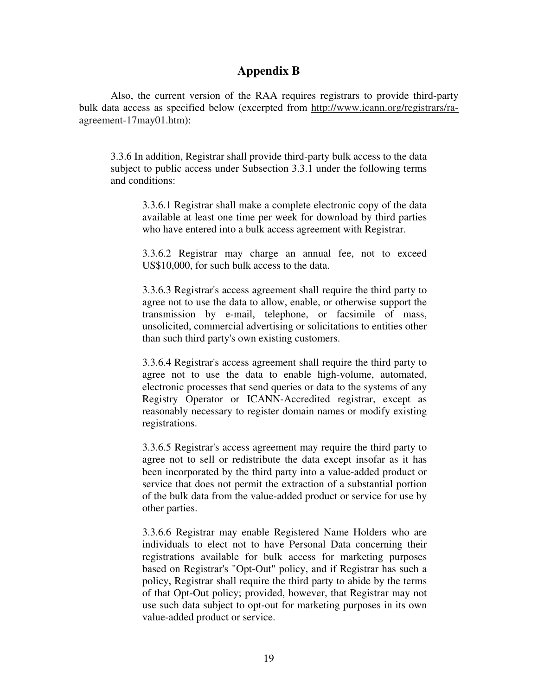## **Appendix B**

Also, the current version of the RAA requires registrars to provide third-party bulk data access as specified below (excerpted from http://www.icann.org/registrars/raagreement-17may01.htm):

3.3.6 In addition, Registrar shall provide third-party bulk access to the data subject to public access under Subsection 3.3.1 under the following terms and conditions:

3.3.6.1 Registrar shall make a complete electronic copy of the data available at least one time per week for download by third parties who have entered into a bulk access agreement with Registrar.

3.3.6.2 Registrar may charge an annual fee, not to exceed US\$10,000, for such bulk access to the data.

3.3.6.3 Registrar's access agreement shall require the third party to agree not to use the data to allow, enable, or otherwise support the transmission by e-mail, telephone, or facsimile of mass, unsolicited, commercial advertising or solicitations to entities other than such third party's own existing customers.

3.3.6.4 Registrar's access agreement shall require the third party to agree not to use the data to enable high-volume, automated, electronic processes that send queries or data to the systems of any Registry Operator or ICANN-Accredited registrar, except as reasonably necessary to register domain names or modify existing registrations.

3.3.6.5 Registrar's access agreement may require the third party to agree not to sell or redistribute the data except insofar as it has been incorporated by the third party into a value-added product or service that does not permit the extraction of a substantial portion of the bulk data from the value-added product or service for use by other parties.

3.3.6.6 Registrar may enable Registered Name Holders who are individuals to elect not to have Personal Data concerning their registrations available for bulk access for marketing purposes based on Registrar's "Opt-Out" policy, and if Registrar has such a policy, Registrar shall require the third party to abide by the terms of that Opt-Out policy; provided, however, that Registrar may not use such data subject to opt-out for marketing purposes in its own value-added product or service.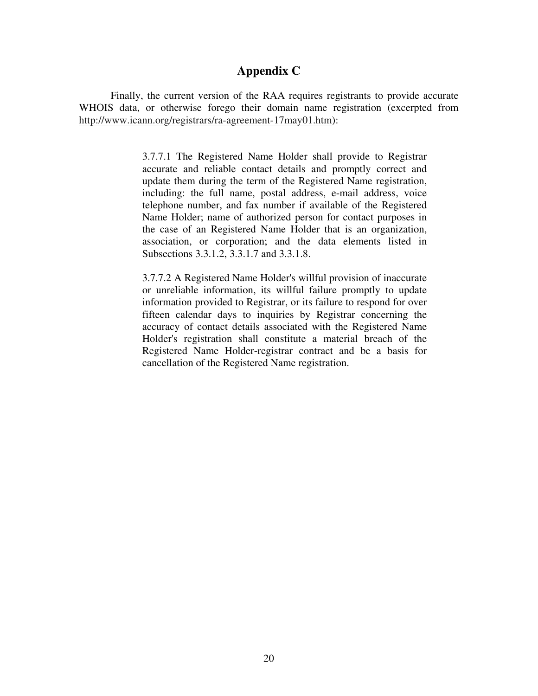## **Appendix C**

Finally, the current version of the RAA requires registrants to provide accurate WHOIS data, or otherwise forego their domain name registration (excerpted from http://www.icann.org/registrars/ra-agreement-17may01.htm):

> 3.7.7.1 The Registered Name Holder shall provide to Registrar accurate and reliable contact details and promptly correct and update them during the term of the Registered Name registration, including: the full name, postal address, e-mail address, voice telephone number, and fax number if available of the Registered Name Holder; name of authorized person for contact purposes in the case of an Registered Name Holder that is an organization, association, or corporation; and the data elements listed in Subsections 3.3.1.2, 3.3.1.7 and 3.3.1.8.

> 3.7.7.2 A Registered Name Holder's willful provision of inaccurate or unreliable information, its willful failure promptly to update information provided to Registrar, or its failure to respond for over fifteen calendar days to inquiries by Registrar concerning the accuracy of contact details associated with the Registered Name Holder's registration shall constitute a material breach of the Registered Name Holder-registrar contract and be a basis for cancellation of the Registered Name registration.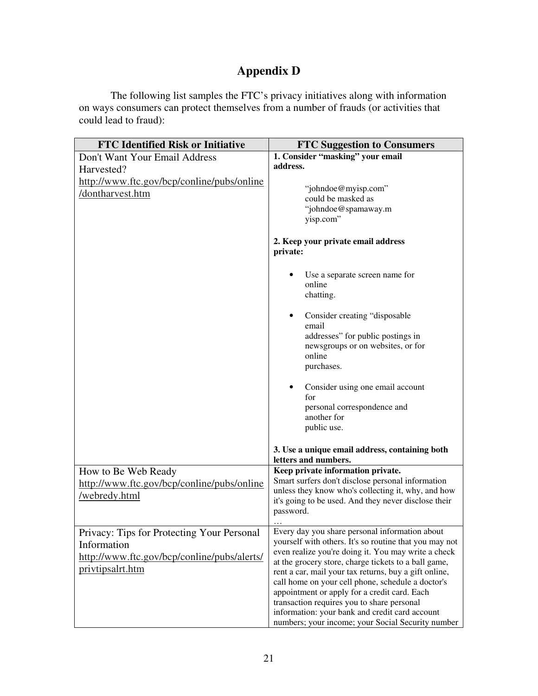# **Appendix D**

The following list samples the FTC's privacy initiatives along with information on ways consumers can protect themselves from a number of frauds (or activities that could lead to fraud):

| <b>FTC Identified Risk or Initiative</b>    | <b>FTC Suggestion to Consumers</b>                                                         |
|---------------------------------------------|--------------------------------------------------------------------------------------------|
| Don't Want Your Email Address               | 1. Consider "masking" your email                                                           |
| Harvested?                                  | address.                                                                                   |
| http://www.ftc.gov/bcp/conline/pubs/online  |                                                                                            |
| /dontharvest.htm                            | "johndoe@myisp.com"                                                                        |
|                                             | could be masked as                                                                         |
|                                             | "johndoe@spamaway.m<br>yisp.com"                                                           |
|                                             |                                                                                            |
|                                             | 2. Keep your private email address                                                         |
|                                             | private:                                                                                   |
|                                             |                                                                                            |
|                                             | Use a separate screen name for                                                             |
|                                             | online                                                                                     |
|                                             | chatting.                                                                                  |
|                                             |                                                                                            |
|                                             | Consider creating "disposable<br>$\bullet$                                                 |
|                                             | email<br>addresses" for public postings in                                                 |
|                                             | newsgroups or on websites, or for                                                          |
|                                             | online                                                                                     |
|                                             | purchases.                                                                                 |
|                                             |                                                                                            |
|                                             | Consider using one email account                                                           |
|                                             | for                                                                                        |
|                                             | personal correspondence and<br>another for                                                 |
|                                             | public use.                                                                                |
|                                             |                                                                                            |
|                                             | 3. Use a unique email address, containing both                                             |
|                                             | letters and numbers.                                                                       |
| How to Be Web Ready                         | Keep private information private.                                                          |
| http://www.ftc.gov/bcp/conline/pubs/online  | Smart surfers don't disclose personal information                                          |
| /webredy.html                               | unless they know who's collecting it, why, and how                                         |
|                                             | it's going to be used. And they never disclose their<br>password.                          |
|                                             |                                                                                            |
| Privacy: Tips for Protecting Your Personal  | Every day you share personal information about                                             |
| Information                                 | yourself with others. It's so routine that you may not                                     |
| http://www.ftc.gov/bcp/conline/pubs/alerts/ | even realize you're doing it. You may write a check                                        |
|                                             | at the grocery store, charge tickets to a ball game,                                       |
| privtipsalrt.htm                            | rent a car, mail your tax returns, buy a gift online,                                      |
|                                             | call home on your cell phone, schedule a doctor's                                          |
|                                             | appointment or apply for a credit card. Each<br>transaction requires you to share personal |
|                                             | information: your bank and credit card account                                             |
|                                             | numbers; your income; your Social Security number                                          |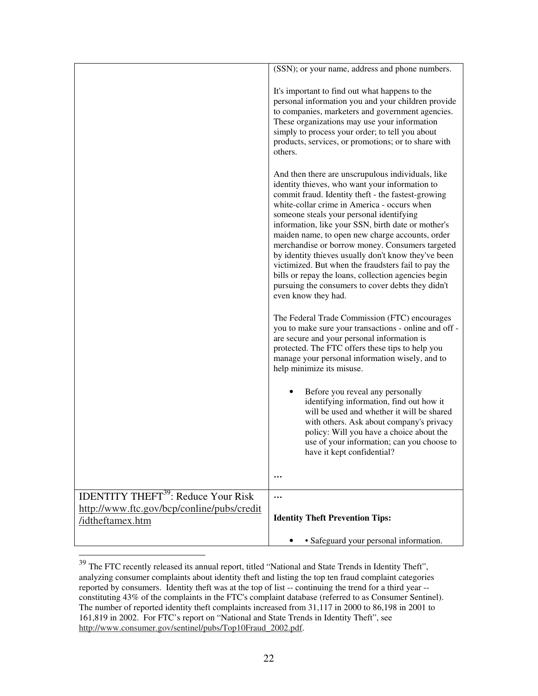|                                                                                                                         | (SSN); or your name, address and phone numbers.                                                                                                                                                                                                                                                                                                                                                                                                                                                                                                                                                                                                                   |
|-------------------------------------------------------------------------------------------------------------------------|-------------------------------------------------------------------------------------------------------------------------------------------------------------------------------------------------------------------------------------------------------------------------------------------------------------------------------------------------------------------------------------------------------------------------------------------------------------------------------------------------------------------------------------------------------------------------------------------------------------------------------------------------------------------|
|                                                                                                                         | It's important to find out what happens to the<br>personal information you and your children provide<br>to companies, marketers and government agencies.<br>These organizations may use your information<br>simply to process your order; to tell you about<br>products, services, or promotions; or to share with<br>others.                                                                                                                                                                                                                                                                                                                                     |
|                                                                                                                         | And then there are unscrupulous individuals, like<br>identity thieves, who want your information to<br>commit fraud. Identity theft - the fastest-growing<br>white-collar crime in America - occurs when<br>someone steals your personal identifying<br>information, like your SSN, birth date or mother's<br>maiden name, to open new charge accounts, order<br>merchandise or borrow money. Consumers targeted<br>by identity thieves usually don't know they've been<br>victimized. But when the fraudsters fail to pay the<br>bills or repay the loans, collection agencies begin<br>pursuing the consumers to cover debts they didn't<br>even know they had. |
|                                                                                                                         | The Federal Trade Commission (FTC) encourages<br>you to make sure your transactions - online and off -<br>are secure and your personal information is<br>protected. The FTC offers these tips to help you<br>manage your personal information wisely, and to<br>help minimize its misuse.                                                                                                                                                                                                                                                                                                                                                                         |
|                                                                                                                         | Before you reveal any personally<br>identifying information, find out how it<br>will be used and whether it will be shared<br>with others. Ask about company's privacy<br>policy: Will you have a choice about the<br>use of your information; can you choose to<br>have it kept confidential?                                                                                                                                                                                                                                                                                                                                                                    |
|                                                                                                                         |                                                                                                                                                                                                                                                                                                                                                                                                                                                                                                                                                                                                                                                                   |
| <b>IDENTITY THEFT<sup>39</sup></b> : Reduce Your Risk<br>http://www.ftc.gov/bcp/conline/pubs/credit<br>/idtheftamex.htm | <br><b>Identity Theft Prevention Tips:</b>                                                                                                                                                                                                                                                                                                                                                                                                                                                                                                                                                                                                                        |
|                                                                                                                         | • Safeguard your personal information.                                                                                                                                                                                                                                                                                                                                                                                                                                                                                                                                                                                                                            |

<sup>&</sup>lt;sup>39</sup> The FTC recently released its annual report, titled "National and State Trends in Identity Theft", analyzing consumer complaints about identity theft and listing the top ten fraud complaint categories reported by consumers. Identity theft was at the top of list -- continuing the trend for a third year - constituting 43% of the complaints in the FTC's complaint database (referred to as Consumer Sentinel). The number of reported identity theft complaints increased from 31,117 in 2000 to 86,198 in 2001 to 161,819 in 2002. For FTC's report on "National and State Trends in Identity Theft", see http://www.consumer.gov/sentinel/pubs/Top10Fraud\_2002.pdf.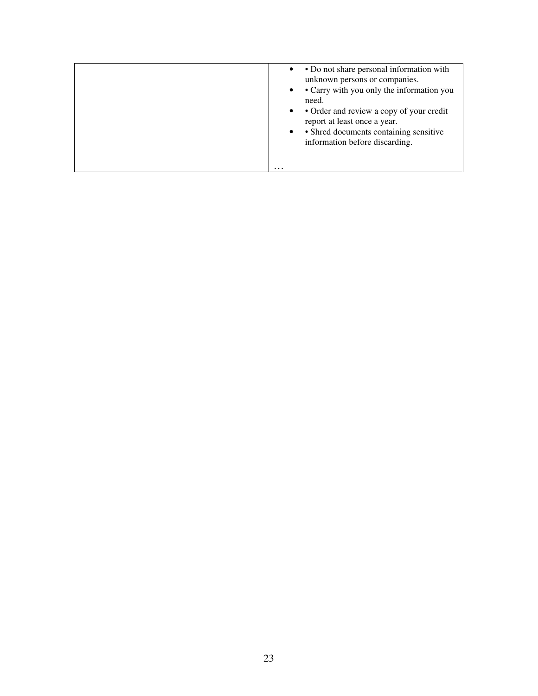|  |  | • Do not share personal information with<br>$\bullet$<br>unknown persons or companies.<br>• Carry with you only the information you<br>$\bullet$<br>need.<br>• Order and review a copy of your credit<br>$\bullet$<br>report at least once a year.<br>• Shred documents containing sensitive<br>$\bullet$<br>information before discarding.<br>$\cdots$ |
|--|--|---------------------------------------------------------------------------------------------------------------------------------------------------------------------------------------------------------------------------------------------------------------------------------------------------------------------------------------------------------|
|--|--|---------------------------------------------------------------------------------------------------------------------------------------------------------------------------------------------------------------------------------------------------------------------------------------------------------------------------------------------------------|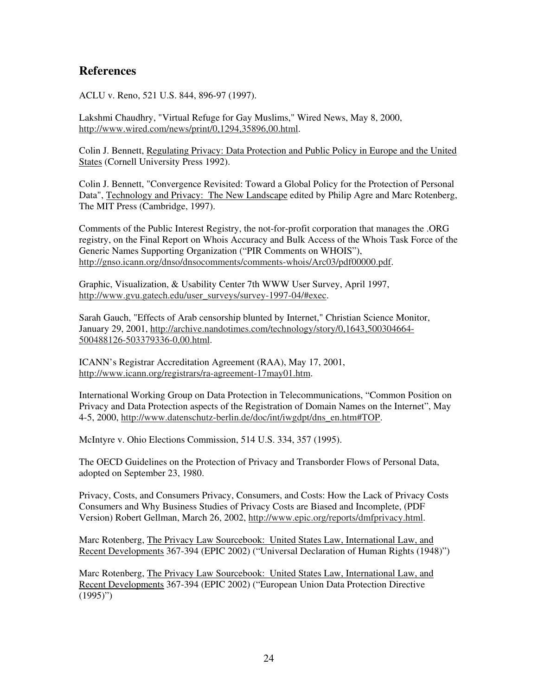## **References**

ACLU v. Reno, 521 U.S. 844, 896-97 (1997).

Lakshmi Chaudhry, "Virtual Refuge for Gay Muslims," Wired News, May 8, 2000, http://www.wired.com/news/print/0,1294,35896,00.html.

Colin J. Bennett, Regulating Privacy: Data Protection and Public Policy in Europe and the United States (Cornell University Press 1992).

Colin J. Bennett, "Convergence Revisited: Toward a Global Policy for the Protection of Personal Data", Technology and Privacy: The New Landscape edited by Philip Agre and Marc Rotenberg, The MIT Press (Cambridge, 1997).

Comments of the Public Interest Registry, the not-for-profit corporation that manages the .ORG registry, on the Final Report on Whois Accuracy and Bulk Access of the Whois Task Force of the Generic Names Supporting Organization ("PIR Comments on WHOIS"), http://gnso.icann.org/dnso/dnsocomments/comments-whois/Arc03/pdf00000.pdf.

Graphic, Visualization, & Usability Center 7th WWW User Survey, April 1997, http://www.gvu.gatech.edu/user\_surveys/survey-1997-04/#exec.

Sarah Gauch, "Effects of Arab censorship blunted by Internet," Christian Science Monitor, January 29, 2001, http://archive.nandotimes.com/technology/story/0,1643,500304664- 500488126-503379336-0,00.html.

ICANN's Registrar Accreditation Agreement (RAA), May 17, 2001, http://www.icann.org/registrars/ra-agreement-17may01.htm.

International Working Group on Data Protection in Telecommunications, "Common Position on Privacy and Data Protection aspects of the Registration of Domain Names on the Internet", May 4-5, 2000, http://www.datenschutz-berlin.de/doc/int/iwgdpt/dns\_en.htm#TOP.

McIntyre v. Ohio Elections Commission, 514 U.S. 334, 357 (1995).

The OECD Guidelines on the Protection of Privacy and Transborder Flows of Personal Data, adopted on September 23, 1980.

Privacy, Costs, and Consumers Privacy, Consumers, and Costs: How the Lack of Privacy Costs Consumers and Why Business Studies of Privacy Costs are Biased and Incomplete, (PDF Version) Robert Gellman, March 26, 2002, http://www.epic.org/reports/dmfprivacy.html.

Marc Rotenberg, The Privacy Law Sourcebook: United States Law, International Law, and Recent Developments 367-394 (EPIC 2002) ("Universal Declaration of Human Rights (1948)")

Marc Rotenberg, The Privacy Law Sourcebook: United States Law, International Law, and Recent Developments 367-394 (EPIC 2002) ("European Union Data Protection Directive  $(1995)$ ")